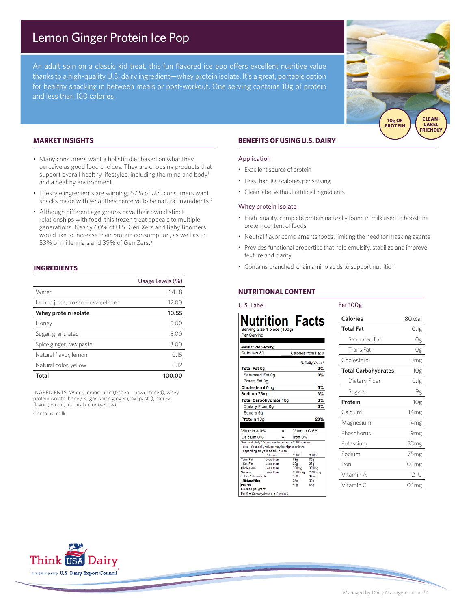# Lemon Ginger Protein Ice Pop

An adult spin on a classic kid treat, this fun flavored ice pop offers excellent nutritive value thanks to a high-quality U.S. dairy ingredient—whey protein isolate. It's a great, portable option for healthy snacking in between meals or post-workout. One serving contains 10g of protein and less than 100 calories.

## **MARKET INSIGHTS**

- Many consumers want a holistic diet based on what they perceive as good food choices. They are choosing products that support overall healthy lifestyles, including the mind and body<sup>1</sup> and a healthy environment.
- Lifestyle ingredients are winning; 57% of U.S. consumers want snacks made with what they perceive to be natural ingredients.<sup>2</sup>
- Although different age groups have their own distinct relationships with food, this frozen treat appeals to multiple generations. Nearly 60% of U.S. Gen Xers and Baby Boomers would like to increase their protein consumption, as well as to 53% of millennials and 39% of Gen Zers.3

### **INGREDIENTS**

|                                  | Usage Levels (%) |
|----------------------------------|------------------|
| Water                            | 64.18            |
| Lemon juice, frozen, unsweetened | 12.00            |
| Whey protein isolate             | 10.55            |
| Honey                            | 5.00             |
| Sugar, granulated                | 5.00             |
| Spice ginger, raw paste          | 3.00             |
| Natural flavor, lemon            | 0.15             |
| Natural color, yellow            | 012              |
| Total                            | 100.00           |

INGREDIENTS: Water, lemon juice (frozen, unsweetened), whey protein isolate, honey, sugar, spice ginger (raw paste), natural flavor (lemon), natural color (yellow).

Contains: milk

# **BENEFITS OF USING U.S. DAIRY**

#### Application

- Excellent source of protein
- Less than 100 calories per serving
- Clean label without artificial ingredients

#### Whey protein isolate

- High-quality, complete protein naturally found in milk used to boost the protein content of foods
- Neutral flavor complements foods, limiting the need for masking agents
- Provides functional properties that help emulsify, stabilize and improve texture and clarity

Per 100g

• Contains branched-chain amino acids to support nutrition

# **NUTRITIONAL CONTENT**

## U.S. Label

|                           | Nutrition Facts                                    |              |                  |                     |
|---------------------------|----------------------------------------------------|--------------|------------------|---------------------|
|                           | Serving Size 1 piece (100g)                        |              |                  |                     |
| Per Serving               |                                                    |              |                  |                     |
|                           |                                                    |              |                  |                     |
| <b>Amount Per Serving</b> |                                                    |              |                  |                     |
| Calories 80               |                                                    |              |                  | Calories from Fat 0 |
|                           |                                                    |              |                  | % Daily Value*      |
| <b>Total Fat 0g</b>       |                                                    |              |                  | $0\%$               |
| Saturated Fat 0g          |                                                    |              |                  | $0\%$               |
| Trans Fat 0q              |                                                    |              |                  |                     |
| <b>Cholesterol Omg</b>    |                                                    |              |                  | $0\%$               |
| Sodium 75mg               |                                                    |              |                  | 3%                  |
|                           | <b>Total Carbohydrate 10g</b>                      |              |                  | 3%                  |
| Dietary Fiber 0g          |                                                    |              |                  | $0\%$               |
| Sugars 9g                 |                                                    |              |                  |                     |
| Protein 10g               |                                                    |              |                  | 20%                 |
|                           |                                                    |              |                  |                     |
| Vitamin A 0%              |                                                    | Vitamin C 6% |                  |                     |
| Calcium 0%                |                                                    |              | Iron 0%          |                     |
|                           | *Percent Daily Values are based on a 2,000 calorie |              |                  |                     |
|                           | diet. Your daily values may be higher or lower     |              |                  |                     |
|                           | depending on your calorie needs:                   |              |                  |                     |
|                           | Calories:                                          |              | 2.000            | 2.500               |
| <b>Total Fat</b>          | Less than                                          |              | 65a              | 80 <sub>a</sub>     |
| Sat Fat                   | Less than                                          |              | 20 <sub>a</sub>  | 25 <sub>a</sub>     |
| Cholesterol               | Less than                                          |              | 300mg            | 300 <sub>mg</sub>   |
| Sodium                    | Less than                                          |              | 2.400mg          | 2,400mg             |
| <b>Total Carbohydrate</b> |                                                    |              | 300 <sub>a</sub> | 375a                |
| <b>Dietary Fiber</b>      |                                                    |              | 25a              | 30 <sub>a</sub>     |

**Calories** 80kcal **Total Fat** 0.1g Saturated Fat 0g Trans Fat 0g Cholesterol 0mg **Total Carbohydrates** 10g Dietary Fiber 0.1g Sugars 9g Protein 10g Calcium 14mg Magnesium 4mg Phosphorus 9mg Potassium 33mg Sodium 75mg Iron 0.1mg Vitamin A 12 IU Vitamin C 0.1mg

**SOURCE OF CLEAN-LABEL FRIENDLY** 

**10g OF PROTEIN**